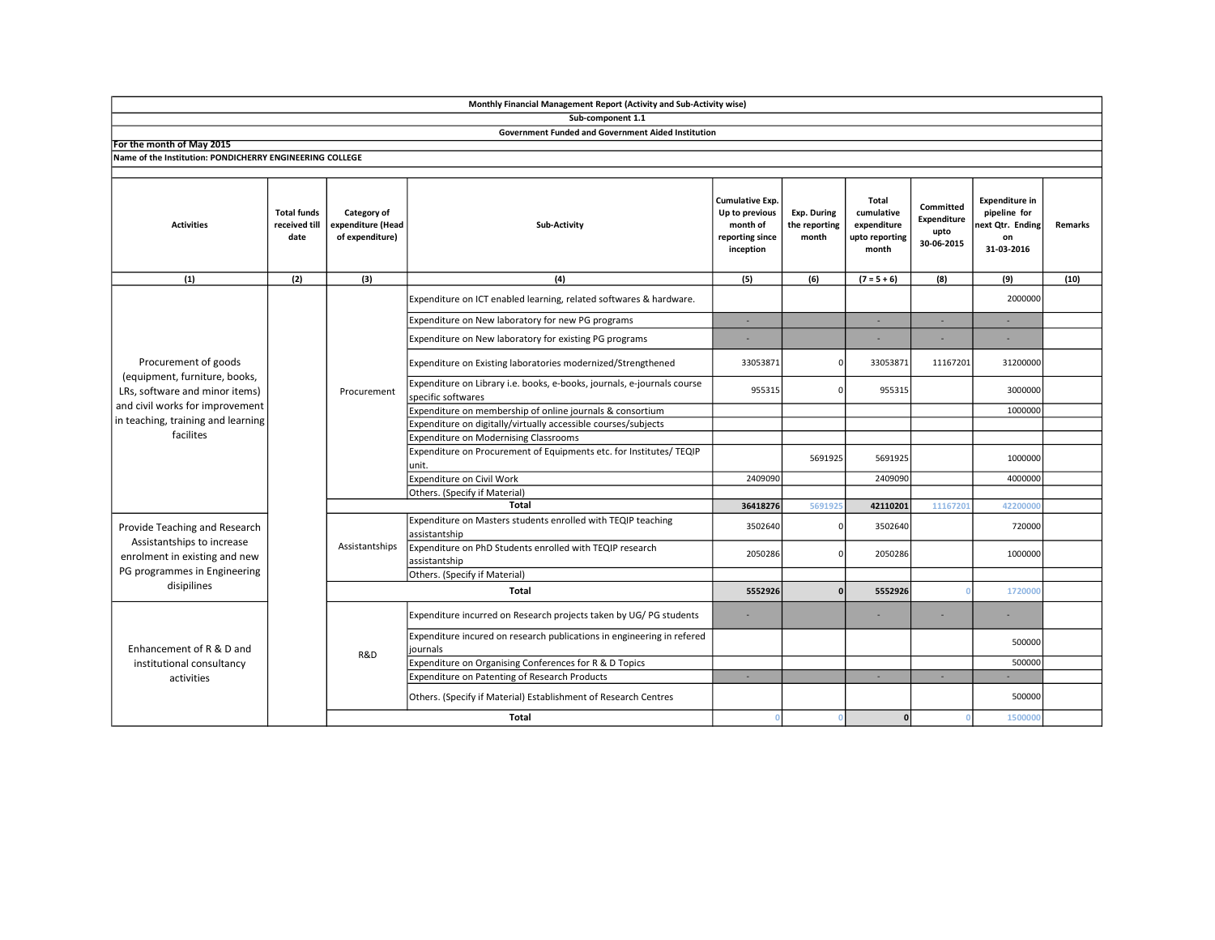|                                                                                                                                                                               |                                             |                                                     | Monthly Financial Management Report (Activity and Sub-Activity wise)                          |                                                                               |                                              |                                                               |                                                |                                                                               |         |
|-------------------------------------------------------------------------------------------------------------------------------------------------------------------------------|---------------------------------------------|-----------------------------------------------------|-----------------------------------------------------------------------------------------------|-------------------------------------------------------------------------------|----------------------------------------------|---------------------------------------------------------------|------------------------------------------------|-------------------------------------------------------------------------------|---------|
|                                                                                                                                                                               |                                             |                                                     | Sub-component 1.1                                                                             |                                                                               |                                              |                                                               |                                                |                                                                               |         |
|                                                                                                                                                                               |                                             |                                                     | <b>Government Funded and Government Aided Institution</b>                                     |                                                                               |                                              |                                                               |                                                |                                                                               |         |
| For the month of May 2015                                                                                                                                                     |                                             |                                                     |                                                                                               |                                                                               |                                              |                                                               |                                                |                                                                               |         |
| Name of the Institution: PONDICHERRY ENGINEERING COLLEGE                                                                                                                      |                                             |                                                     |                                                                                               |                                                                               |                                              |                                                               |                                                |                                                                               |         |
| <b>Activities</b>                                                                                                                                                             | <b>Total funds</b><br>received till<br>date | Category of<br>expenditure (Head<br>of expenditure) | Sub-Activity                                                                                  | Cumulative Exp.<br>Up to previous<br>month of<br>reporting since<br>inception | <b>Exp. During</b><br>the reporting<br>month | Total<br>cumulative<br>expenditure<br>upto reporting<br>month | Committed<br>Expenditure<br>upto<br>30-06-2015 | <b>Expenditure in</b><br>pipeline for<br>next Qtr. Ending<br>on<br>31-03-2016 | Remarks |
| (1)                                                                                                                                                                           | (2)                                         | (3)                                                 | (4)                                                                                           | (5)                                                                           | (6)                                          | $(7 = 5 + 6)$                                                 | (8)                                            | (9)                                                                           | (10)    |
|                                                                                                                                                                               |                                             | Procurement                                         | Expenditure on ICT enabled learning, related softwares & hardware.                            |                                                                               |                                              |                                                               |                                                | 2000000                                                                       |         |
| Procurement of goods<br>(equipment, furniture, books,<br>LRs, software and minor items)<br>and civil works for improvement<br>in teaching, training and learning<br>facilites |                                             |                                                     | Expenditure on New laboratory for new PG programs                                             | ٠                                                                             |                                              | $\sim$                                                        | ×.                                             | ٠                                                                             |         |
|                                                                                                                                                                               |                                             |                                                     | Expenditure on New laboratory for existing PG programs                                        | ä,                                                                            |                                              |                                                               |                                                | ÷,                                                                            |         |
|                                                                                                                                                                               |                                             |                                                     | Expenditure on Existing laboratories modernized/Strengthened                                  | 33053871                                                                      |                                              | 33053871                                                      | 11167201                                       | 31200000                                                                      |         |
|                                                                                                                                                                               |                                             |                                                     | Expenditure on Library i.e. books, e-books, journals, e-journals course<br>specific softwares | 955315                                                                        | $\Omega$                                     | 955315                                                        |                                                | 3000000                                                                       |         |
|                                                                                                                                                                               |                                             |                                                     | Expenditure on membership of online journals & consortium                                     |                                                                               |                                              |                                                               |                                                | 1000000                                                                       |         |
|                                                                                                                                                                               |                                             |                                                     | Expenditure on digitally/virtually accessible courses/subjects                                |                                                                               |                                              |                                                               |                                                |                                                                               |         |
|                                                                                                                                                                               |                                             |                                                     | Expenditure on Modernising Classrooms                                                         |                                                                               |                                              |                                                               |                                                |                                                                               |         |
|                                                                                                                                                                               |                                             |                                                     | Expenditure on Procurement of Equipments etc. for Institutes/ TEQIP<br>unit.                  |                                                                               | 5691925                                      | 5691925                                                       |                                                | 1000000                                                                       |         |
|                                                                                                                                                                               |                                             |                                                     | Expenditure on Civil Work                                                                     | 2409090                                                                       |                                              | 2409090                                                       |                                                | 4000000                                                                       |         |
|                                                                                                                                                                               |                                             |                                                     | Others. (Specify if Material)                                                                 |                                                                               |                                              |                                                               |                                                |                                                                               |         |
|                                                                                                                                                                               |                                             |                                                     | <b>Total</b>                                                                                  | 36418276                                                                      | 569192                                       | 42110201                                                      | 11167201                                       | 42200000                                                                      |         |
| Provide Teaching and Research<br>Assistantships to increase<br>enrolment in existing and new<br>PG programmes in Engineering<br>disipilines                                   |                                             | Assistantships                                      | Expenditure on Masters students enrolled with TEQIP teaching<br>assistantship                 | 3502640                                                                       |                                              | 3502640                                                       |                                                | 720000                                                                        |         |
|                                                                                                                                                                               |                                             |                                                     | Expenditure on PhD Students enrolled with TEQIP research<br>assistantship                     | 2050286                                                                       |                                              | 2050286                                                       |                                                | 1000000                                                                       |         |
|                                                                                                                                                                               |                                             |                                                     | Others. (Specify if Material)                                                                 |                                                                               |                                              |                                                               |                                                |                                                                               |         |
|                                                                                                                                                                               |                                             | Total                                               |                                                                                               | 5552926                                                                       | O                                            | 5552926                                                       |                                                | 1720000                                                                       |         |
| Enhancement of R & D and<br>institutional consultancy<br>activities                                                                                                           |                                             |                                                     | Expenditure incurred on Research projects taken by UG/PG students                             | ٠                                                                             |                                              |                                                               |                                                |                                                                               |         |
|                                                                                                                                                                               |                                             | R&D                                                 | Expenditure incured on research publications in engineering in refered<br>journals            |                                                                               |                                              |                                                               |                                                | 500000                                                                        |         |
|                                                                                                                                                                               |                                             |                                                     | Expenditure on Organising Conferences for R & D Topics                                        |                                                                               |                                              |                                                               |                                                | 500000                                                                        |         |
|                                                                                                                                                                               |                                             |                                                     | Expenditure on Patenting of Research Products                                                 | ×.                                                                            |                                              |                                                               | ×.                                             |                                                                               |         |
|                                                                                                                                                                               |                                             |                                                     | Others. (Specify if Material) Establishment of Research Centres                               |                                                                               |                                              |                                                               |                                                | 500000                                                                        |         |
|                                                                                                                                                                               |                                             |                                                     | <b>Total</b>                                                                                  | - 0                                                                           |                                              | 0                                                             |                                                | 1500000                                                                       |         |